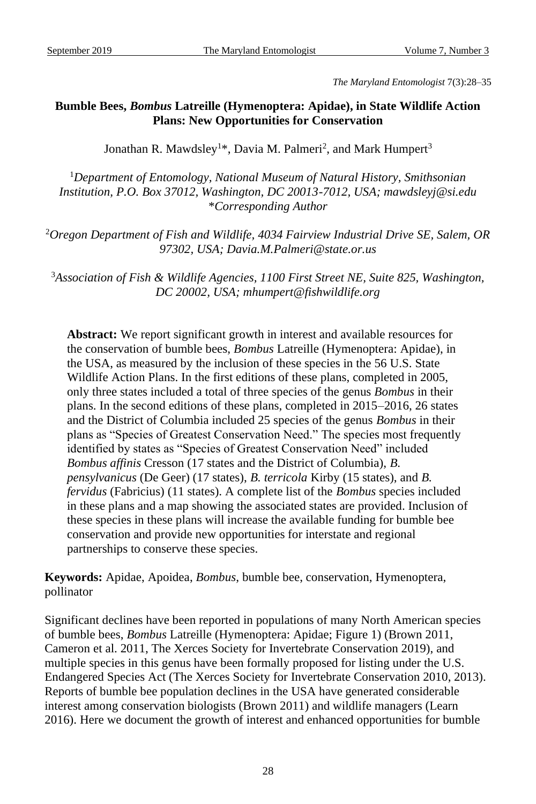*The Maryland Entomologist* 7(3):28–35

# **Bumble Bees,** *Bombus* **Latreille (Hymenoptera: Apidae), in State Wildlife Action Plans: New Opportunities for Conservation**

Jonathan R. Mawdsley<sup>1\*</sup>, Davia M. Palmeri<sup>2</sup>, and Mark Humpert<sup>3</sup>

<sup>1</sup>*Department of Entomology, National Museum of Natural History, Smithsonian Institution, P.O. Box 37012, Washington, DC 20013-7012, USA; mawdsleyj@si.edu* \**Corresponding Author*

<sup>2</sup>*Oregon Department of Fish and Wildlife, 4034 Fairview Industrial Drive SE, Salem, OR 97302, USA; Davia.M.Palmeri@state.or.us*

<sup>3</sup>*Association of Fish & Wildlife Agencies, 1100 First Street NE, Suite 825, Washington, DC 20002, USA; mhumpert@fishwildlife.org*

**Abstract:** We report significant growth in interest and available resources for the conservation of bumble bees, *Bombus* Latreille (Hymenoptera: Apidae), in the USA, as measured by the inclusion of these species in the 56 U.S. State Wildlife Action Plans. In the first editions of these plans, completed in 2005, only three states included a total of three species of the genus *Bombus* in their plans. In the second editions of these plans, completed in 2015–2016, 26 states and the District of Columbia included 25 species of the genus *Bombus* in their plans as "Species of Greatest Conservation Need." The species most frequently identified by states as "Species of Greatest Conservation Need" included *Bombus affinis* Cresson (17 states and the District of Columbia), *B. pensylvanicus* (De Geer) (17 states), *B. terricola* Kirby (15 states), and *B. fervidus* (Fabricius) (11 states). A complete list of the *Bombus* species included in these plans and a map showing the associated states are provided. Inclusion of these species in these plans will increase the available funding for bumble bee conservation and provide new opportunities for interstate and regional partnerships to conserve these species.

**Keywords:** Apidae, Apoidea, *Bombus*, bumble bee, conservation, Hymenoptera, pollinator

Significant declines have been reported in populations of many North American species of bumble bees, *Bombus* Latreille (Hymenoptera: Apidae; Figure 1) (Brown 2011, Cameron et al. 2011, The Xerces Society for Invertebrate Conservation 2019), and multiple species in this genus have been formally proposed for listing under the U.S. Endangered Species Act (The Xerces Society for Invertebrate Conservation 2010, 2013). Reports of bumble bee population declines in the USA have generated considerable interest among conservation biologists (Brown 2011) and wildlife managers (Learn 2016). Here we document the growth of interest and enhanced opportunities for bumble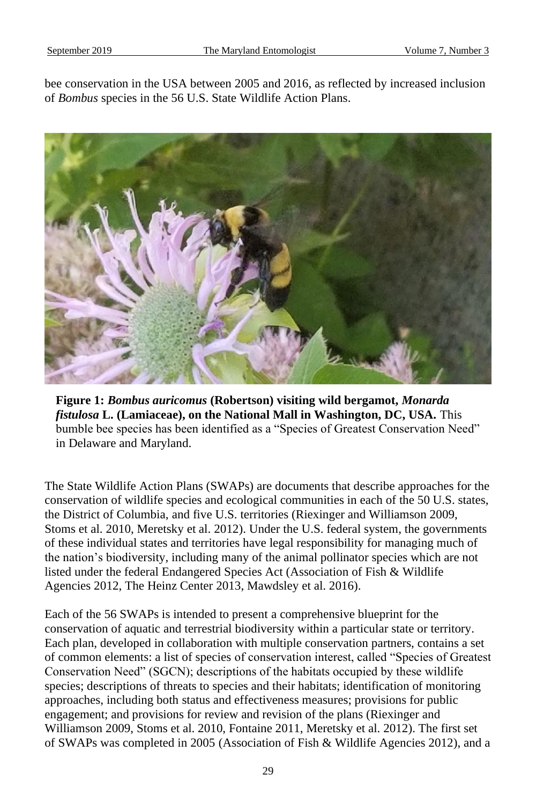bee conservation in the USA between 2005 and 2016, as reflected by increased inclusion of *Bombus* species in the 56 U.S. State Wildlife Action Plans.



**Figure 1:** *Bombus auricomus* **(Robertson) visiting wild bergamot,** *Monarda fistulosa* **L. (Lamiaceae), on the National Mall in Washington, DC, USA.** This bumble bee species has been identified as a "Species of Greatest Conservation Need" in Delaware and Maryland.

The State Wildlife Action Plans (SWAPs) are documents that describe approaches for the conservation of wildlife species and ecological communities in each of the 50 U.S. states, the District of Columbia, and five U.S. territories (Riexinger and Williamson 2009, Stoms et al. 2010, Meretsky et al. 2012). Under the U.S. federal system, the governments of these individual states and territories have legal responsibility for managing much of the nation's biodiversity, including many of the animal pollinator species which are not listed under the federal Endangered Species Act (Association of Fish & Wildlife Agencies 2012, The Heinz Center 2013, Mawdsley et al. 2016).

Each of the 56 SWAPs is intended to present a comprehensive blueprint for the conservation of aquatic and terrestrial biodiversity within a particular state or territory. Each plan, developed in collaboration with multiple conservation partners, contains a set of common elements: a list of species of conservation interest, called "Species of Greatest Conservation Need" (SGCN); descriptions of the habitats occupied by these wildlife species; descriptions of threats to species and their habitats; identification of monitoring approaches, including both status and effectiveness measures; provisions for public engagement; and provisions for review and revision of the plans (Riexinger and Williamson 2009, Stoms et al. 2010, Fontaine 2011, Meretsky et al. 2012). The first set of SWAPs was completed in 2005 (Association of Fish & Wildlife Agencies 2012), and a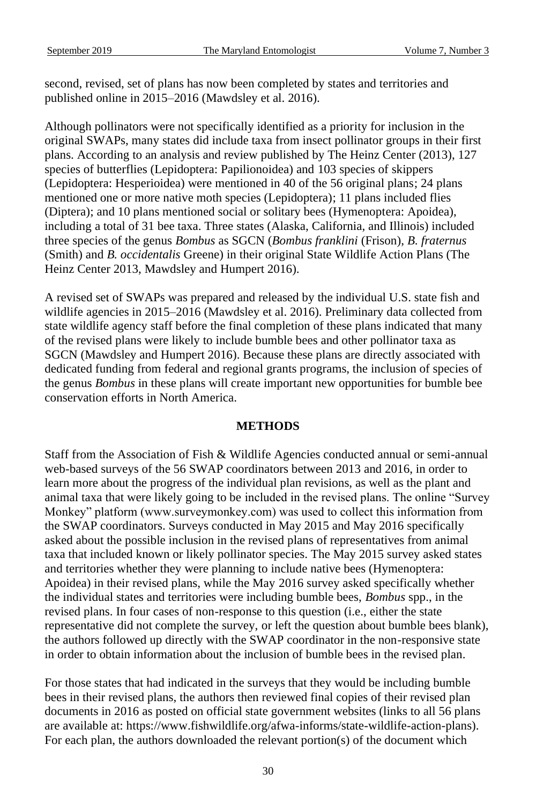second, revised, set of plans has now been completed by states and territories and published online in 2015–2016 (Mawdsley et al. 2016).

Although pollinators were not specifically identified as a priority for inclusion in the original SWAPs, many states did include taxa from insect pollinator groups in their first plans. According to an analysis and review published by The Heinz Center (2013), 127 species of butterflies (Lepidoptera: Papilionoidea) and 103 species of skippers (Lepidoptera: Hesperioidea) were mentioned in 40 of the 56 original plans; 24 plans mentioned one or more native moth species (Lepidoptera); 11 plans included flies (Diptera); and 10 plans mentioned social or solitary bees (Hymenoptera: Apoidea), including a total of 31 bee taxa. Three states (Alaska, California, and Illinois) included three species of the genus *Bombus* as SGCN (*Bombus franklini* (Frison), *B. fraternus* (Smith) and *B. occidentalis* Greene) in their original State Wildlife Action Plans (The Heinz Center 2013, Mawdsley and Humpert 2016).

A revised set of SWAPs was prepared and released by the individual U.S. state fish and wildlife agencies in 2015–2016 (Mawdsley et al. 2016). Preliminary data collected from state wildlife agency staff before the final completion of these plans indicated that many of the revised plans were likely to include bumble bees and other pollinator taxa as SGCN (Mawdsley and Humpert 2016). Because these plans are directly associated with dedicated funding from federal and regional grants programs, the inclusion of species of the genus *Bombus* in these plans will create important new opportunities for bumble bee conservation efforts in North America.

# **METHODS**

Staff from the Association of Fish & Wildlife Agencies conducted annual or semi-annual web-based surveys of the 56 SWAP coordinators between 2013 and 2016, in order to learn more about the progress of the individual plan revisions, as well as the plant and animal taxa that were likely going to be included in the revised plans. The online "Survey Monkey" platform (www.surveymonkey.com) was used to collect this information from the SWAP coordinators. Surveys conducted in May 2015 and May 2016 specifically asked about the possible inclusion in the revised plans of representatives from animal taxa that included known or likely pollinator species. The May 2015 survey asked states and territories whether they were planning to include native bees (Hymenoptera: Apoidea) in their revised plans, while the May 2016 survey asked specifically whether the individual states and territories were including bumble bees, *Bombus* spp., in the revised plans. In four cases of non-response to this question (i.e., either the state representative did not complete the survey, or left the question about bumble bees blank), the authors followed up directly with the SWAP coordinator in the non-responsive state in order to obtain information about the inclusion of bumble bees in the revised plan.

For those states that had indicated in the surveys that they would be including bumble bees in their revised plans, the authors then reviewed final copies of their revised plan documents in 2016 as posted on official state government websites (links to all 56 plans are available at: https://www.fishwildlife.org/afwa-informs/state-wildlife-action-plans). For each plan, the authors downloaded the relevant portion(s) of the document which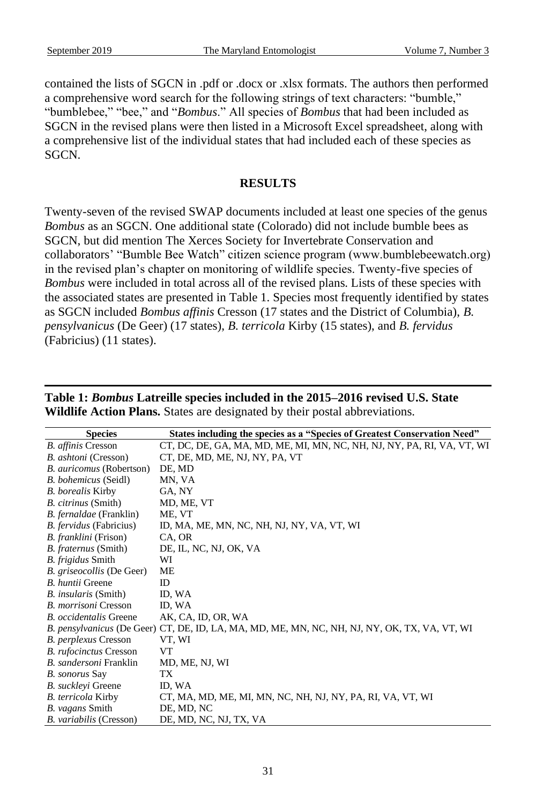contained the lists of SGCN in .pdf or .docx or .xlsx formats. The authors then performed a comprehensive word search for the following strings of text characters: "bumble," "bumblebee," "bee," and "*Bombus*." All species of *Bombus* that had been included as SGCN in the revised plans were then listed in a Microsoft Excel spreadsheet, along with a comprehensive list of the individual states that had included each of these species as SGCN.

# **RESULTS**

Twenty-seven of the revised SWAP documents included at least one species of the genus *Bombus* as an SGCN. One additional state (Colorado) did not include bumble bees as SGCN, but did mention The Xerces Society for Invertebrate Conservation and collaborators' "Bumble Bee Watch" citizen science program (www.bumblebeewatch.org) in the revised plan's chapter on monitoring of wildlife species. Twenty-five species of *Bombus* were included in total across all of the revised plans. Lists of these species with the associated states are presented in Table 1. Species most frequently identified by states as SGCN included *Bombus affinis* Cresson (17 states and the District of Columbia), *B. pensylvanicus* (De Geer) (17 states), *B. terricola* Kirby (15 states), and *B. fervidus* (Fabricius) (11 states).

| <b>Species</b>              | States including the species as a "Species of Greatest Conservation Need"                     |
|-----------------------------|-----------------------------------------------------------------------------------------------|
| <b>B.</b> affinis Cresson   | CT, DC, DE, GA, MA, MD, ME, MI, MN, NC, NH, NJ, NY, PA, RI, VA, VT, WI                        |
| B. ashtoni (Cresson)        | CT, DE, MD, ME, NJ, NY, PA, VT                                                                |
| B. auricomus (Robertson)    | DE, MD                                                                                        |
| B. bohemicus (Seidl)        | MN, VA                                                                                        |
| <b>B.</b> borealis Kirby    | GA, NY                                                                                        |
| B. citrinus (Smith)         | MD, ME, VT                                                                                    |
| B. fernaldae (Franklin)     | ME, VT                                                                                        |
| B. fervidus (Fabricius)     | ID, MA, ME, MN, NC, NH, NJ, NY, VA, VT, WI                                                    |
| B. franklini (Frison)       | CA, OR                                                                                        |
| B. fraternus (Smith)        | DE, IL, NC, NJ, OK, VA                                                                        |
| B. frigidus Smith           | WI                                                                                            |
| B. griseocollis (De Geer)   | ME                                                                                            |
| B. huntii Greene            | ID.                                                                                           |
| <i>B. insularis</i> (Smith) | ID, WA                                                                                        |
| B. morrisoni Cresson        | ID, WA                                                                                        |
| B. occidentalis Greene      | AK, CA, ID, OR, WA                                                                            |
|                             | B. pensylvanicus (De Geer) CT, DE, ID, LA, MA, MD, ME, MN, NC, NH, NJ, NY, OK, TX, VA, VT, WI |
| B. perplexus Cresson        | VT, WI                                                                                        |
| B. rufocinctus Cresson      | <b>VT</b>                                                                                     |
| B. sandersoni Franklin      | MD, ME, NJ, WI                                                                                |
| B. sonorus Say              | TX                                                                                            |
| B. suckleyi Greene          | ID, WA                                                                                        |
| B. terricola Kirby          | CT, MA, MD, ME, MI, MN, NC, NH, NJ, NY, PA, RI, VA, VT, WI                                    |
| B. vagans Smith             | DE, MD, NC                                                                                    |
| B. variabilis (Cresson)     | DE, MD, NC, NJ, TX, VA                                                                        |

**Table 1:** *Bombus* **Latreille species included in the 2015–2016 revised U.S. State Wildlife Action Plans.** States are designated by their postal abbreviations.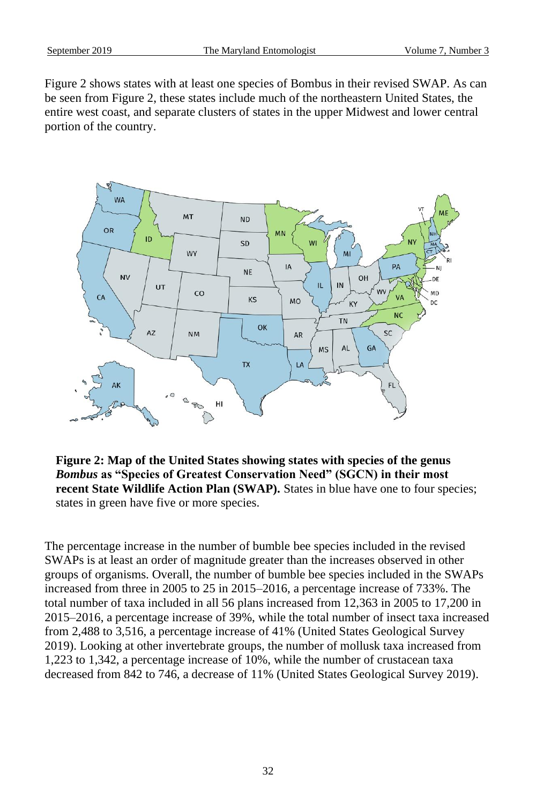Figure 2 shows states with at least one species of Bombus in their revised SWAP. As can be seen from Figure 2, these states include much of the northeastern United States, the entire west coast, and separate clusters of states in the upper Midwest and lower central portion of the country.



**Figure 2: Map of the United States showing states with species of the genus**  *Bombus* **as "Species of Greatest Conservation Need" (SGCN) in their most recent State Wildlife Action Plan (SWAP).** States in blue have one to four species; states in green have five or more species.

The percentage increase in the number of bumble bee species included in the revised SWAPs is at least an order of magnitude greater than the increases observed in other groups of organisms. Overall, the number of bumble bee species included in the SWAPs increased from three in 2005 to 25 in 2015–2016, a percentage increase of 733%. The total number of taxa included in all 56 plans increased from 12,363 in 2005 to 17,200 in 2015–2016, a percentage increase of 39%, while the total number of insect taxa increased from 2,488 to 3,516, a percentage increase of 41% (United States Geological Survey 2019). Looking at other invertebrate groups, the number of mollusk taxa increased from 1,223 to 1,342, a percentage increase of 10%, while the number of crustacean taxa decreased from 842 to 746, a decrease of 11% (United States Geological Survey 2019).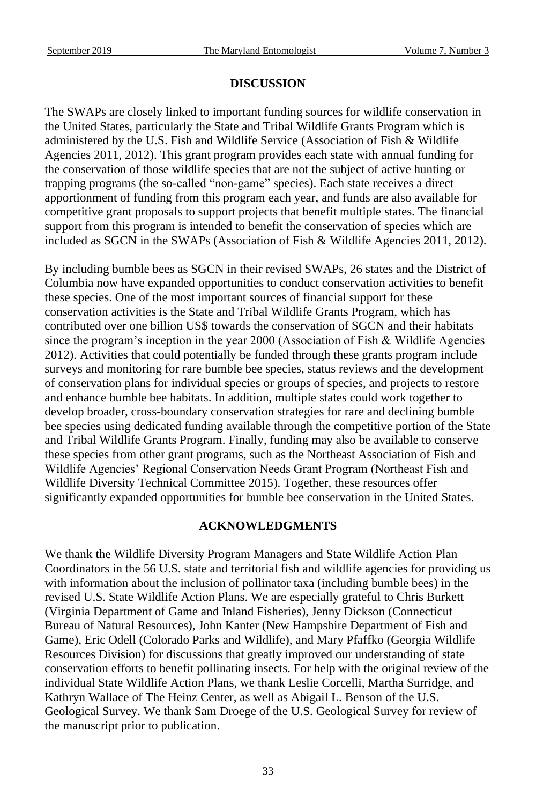# **DISCUSSION**

The SWAPs are closely linked to important funding sources for wildlife conservation in the United States, particularly the State and Tribal Wildlife Grants Program which is administered by the U.S. Fish and Wildlife Service (Association of Fish & Wildlife Agencies 2011, 2012). This grant program provides each state with annual funding for the conservation of those wildlife species that are not the subject of active hunting or trapping programs (the so-called "non-game" species). Each state receives a direct apportionment of funding from this program each year, and funds are also available for competitive grant proposals to support projects that benefit multiple states. The financial support from this program is intended to benefit the conservation of species which are included as SGCN in the SWAPs (Association of Fish & Wildlife Agencies 2011, 2012).

By including bumble bees as SGCN in their revised SWAPs, 26 states and the District of Columbia now have expanded opportunities to conduct conservation activities to benefit these species. One of the most important sources of financial support for these conservation activities is the State and Tribal Wildlife Grants Program, which has contributed over one billion US\$ towards the conservation of SGCN and their habitats since the program's inception in the year 2000 (Association of Fish & Wildlife Agencies 2012). Activities that could potentially be funded through these grants program include surveys and monitoring for rare bumble bee species, status reviews and the development of conservation plans for individual species or groups of species, and projects to restore and enhance bumble bee habitats. In addition, multiple states could work together to develop broader, cross-boundary conservation strategies for rare and declining bumble bee species using dedicated funding available through the competitive portion of the State and Tribal Wildlife Grants Program. Finally, funding may also be available to conserve these species from other grant programs, such as the Northeast Association of Fish and Wildlife Agencies' Regional Conservation Needs Grant Program (Northeast Fish and Wildlife Diversity Technical Committee 2015). Together, these resources offer significantly expanded opportunities for bumble bee conservation in the United States.

#### **ACKNOWLEDGMENTS**

We thank the Wildlife Diversity Program Managers and State Wildlife Action Plan Coordinators in the 56 U.S. state and territorial fish and wildlife agencies for providing us with information about the inclusion of pollinator taxa (including bumble bees) in the revised U.S. State Wildlife Action Plans. We are especially grateful to Chris Burkett (Virginia Department of Game and Inland Fisheries), Jenny Dickson (Connecticut Bureau of Natural Resources), John Kanter (New Hampshire Department of Fish and Game), Eric Odell (Colorado Parks and Wildlife), and Mary Pfaffko (Georgia Wildlife Resources Division) for discussions that greatly improved our understanding of state conservation efforts to benefit pollinating insects. For help with the original review of the individual State Wildlife Action Plans, we thank Leslie Corcelli, Martha Surridge, and Kathryn Wallace of The Heinz Center, as well as Abigail L. Benson of the U.S. Geological Survey. We thank Sam Droege of the U.S. Geological Survey for review of the manuscript prior to publication.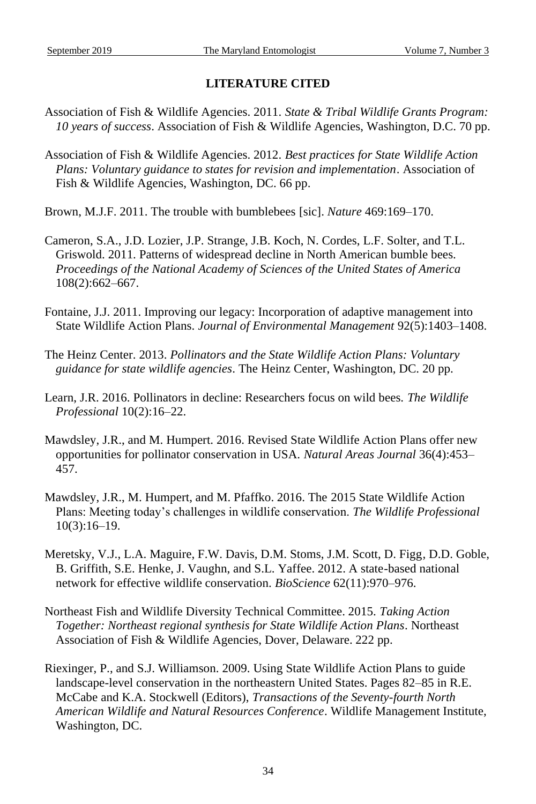# **LITERATURE CITED**

- Association of Fish & Wildlife Agencies. 2011. *State & Tribal Wildlife Grants Program: 10 years of success*. Association of Fish & Wildlife Agencies, Washington, D.C. 70 pp.
- Association of Fish & Wildlife Agencies. 2012. *Best practices for State Wildlife Action Plans: Voluntary guidance to states for revision and implementation*. Association of Fish & Wildlife Agencies, Washington, DC. 66 pp.
- Brown, M.J.F. 2011. The trouble with bumblebees [sic]. *Nature* 469:169–170.
- Cameron, S.A., J.D. Lozier, J.P. Strange, J.B. Koch, N. Cordes, L.F. Solter, and T.L. Griswold. 2011. Patterns of widespread decline in North American bumble bees. *Proceedings of the National Academy of Sciences of the United States of America* 108(2):662–667.
- Fontaine, J.J. 2011. Improving our legacy: Incorporation of adaptive management into State Wildlife Action Plans. *Journal of Environmental Management* 92(5):1403–1408.
- The Heinz Center. 2013. *Pollinators and the State Wildlife Action Plans: Voluntary guidance for state wildlife agencies*. The Heinz Center, Washington, DC. 20 pp.
- Learn, J.R. 2016. Pollinators in decline: Researchers focus on wild bees. *The Wildlife Professional* 10(2):16–22.
- Mawdsley, J.R., and M. Humpert. 2016. Revised State Wildlife Action Plans offer new opportunities for pollinator conservation in USA. *Natural Areas Journal* 36(4):453– 457.
- Mawdsley, J.R., M. Humpert, and M. Pfaffko. 2016. The 2015 State Wildlife Action Plans: Meeting today's challenges in wildlife conservation. *The Wildlife Professional* 10(3):16–19.
- Meretsky, V.J., L.A. Maguire, F.W. Davis, D.M. Stoms, J.M. Scott, D. Figg, D.D. Goble, B. Griffith, S.E. Henke, J. Vaughn, and S.L. Yaffee. 2012. A state-based national network for effective wildlife conservation. *BioScience* 62(11):970–976.
- Northeast Fish and Wildlife Diversity Technical Committee. 2015. *Taking Action Together: Northeast regional synthesis for State Wildlife Action Plans*. Northeast Association of Fish & Wildlife Agencies, Dover, Delaware. 222 pp.
- Riexinger, P., and S.J. Williamson. 2009. Using State Wildlife Action Plans to guide landscape-level conservation in the northeastern United States. Pages 82–85 in R.E. McCabe and K.A. Stockwell (Editors), *Transactions of the Seventy-fourth North American Wildlife and Natural Resources Conference*. Wildlife Management Institute, Washington, DC.